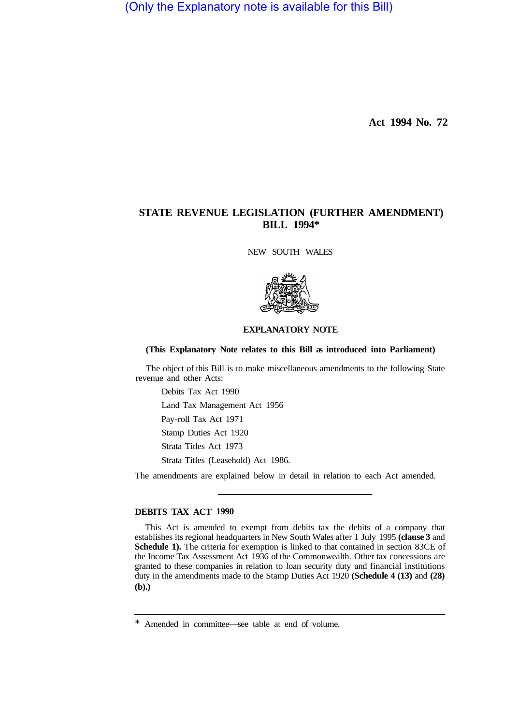(Only the Explanatory note is available for this Bill)

**Act 1994 No. 72** 

# **STATE REVENUE LEGISLATION (FURTHER AMENDMENT) BILL 1994\***

NEW SOUTH WALES



# **EXPLANATORY NOTE**

### **(This Explanatory Note relates to this Bill as introduced into Parliament)**

The object of this Bill is to make miscellaneous amendments to the following State revenue and other Acts:

Debits Tax Act 1990

Land Tax Management Act 1956

Pay-roll Tax Act 1971

Stamp Duties Act 1920

Strata Titles Act 1973

Strata Titles (Leasehold) Act 1986.

The amendments are explained below in detail in relation to each Act amended.

### **DEBITS TAX ACT 1990**

This Act is amended to exempt from debits tax the debits of a company that establishes its regional headquarters in New South Wales after 1 July 1995 **(clause 3** and **Schedule 1).** The criteria for exemption is linked to that contained in section 83CE of the Income Tax Assessment Act 1936 of the Commonwealth. Other tax concessions are granted to these companies in relation to loan security duty and financial institutions duty in the amendments made to the Stamp Duties Act 1920 **(Schedule 4 (13)** and **(28) (b).)** 

<sup>\*</sup> Amended in committee—see table at end of volume.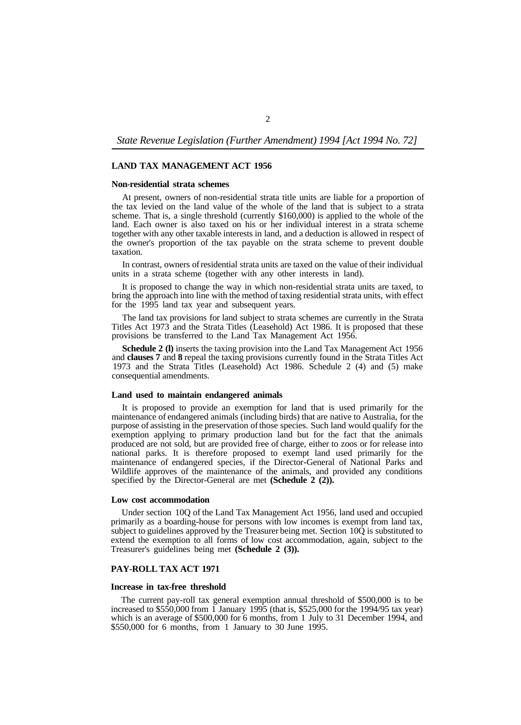### **LAND TAX MANAGEMENT ACT 1956**

### **Non-residential strata schemes**

At present, owners of non-residential strata title units are liable for a proportion of the tax levied on the land value of the whole of the land that is subject to a strata scheme. That is, a single threshold (currently \$160,000) is applied to the whole of the land. Each owner is also taxed on his or her individual interest in a strata scheme together with any other taxable interests in land, and a deduction is allowed in respect of the owner's proportion of the tax payable on the strata scheme to prevent double taxation.

In contrast, owners of residential strata units are taxed on the value of their individual units in a strata scheme (together with any other interests in land).

It is proposed to change the way in which non-residential strata units are taxed, to bring the approach into line with the method of taxing residential strata units, with effect for the 1995 land tax year and subsequent years.

The land tax provisions for land subject to strata schemes are currently in the Strata Titles Act 1973 and the Strata Titles (Leasehold) Act 1986. It is proposed that these provisions be transferred to the Land Tax Management Act 1956.

**Schedule 2 (l)** inserts the taxing provision into the Land Tax Management Act 1956 and **clauses 7** and **8** repeal the taxing provisions currently found in the Strata Titles Act 1973 and the Strata Titles (Leasehold) Act 1986. Schedule 2 (4) and (5) make consequential amendments.

#### **Land used to maintain endangered animals**

It is proposed to provide an exemption for land that is used primarily for the maintenance of endangered animals (including birds) that are native to Australia, for the purpose of assisting in the preservation of those species. Such land would qualify for the exemption applying to primary production land but for the fact that the animals produced are not sold, but are provided free of charge, either to zoos or for release into national parks. It is therefore proposed to exempt land used primarily for the maintenance of endangered species, if the Director-General of National Parks and Wildlife approves of the maintenance of the animals, and provided any conditions specified by the Director-General are met **(Schedule 2 (2)).** 

#### **Low cost accommodation**

Under section 10Q of the Land Tax Management Act 1956, land used and occupied primarily as a boarding-house for persons with low incomes is exempt from land tax, subject to guidelines approved by the Treasurer being met. Section 10Q is substituted to extend the exemption to all forms of low cost accommodation, again, subject to the Treasurer's guidelines being met **(Schedule 2 (3)).** 

### **PAY-ROLL TAX ACT 1971**

#### **Increase in tax-free threshold**

The current pay-roll tax general exemption annual threshold of \$500,000 is to be increased to  $$550,000$  from 1 January 1995 (that is,  $$525,000$  for the 1994/95 tax year) which is an average of \$500,000 for 6 months, from 1 July to 31 December 1994, and \$550,000 for 6 months, from 1 January to 30 June 1995.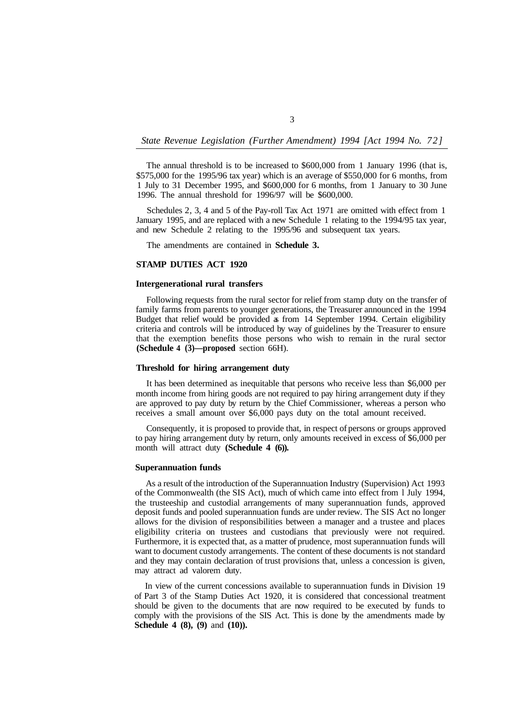The annual threshold is to be increased to \$600,000 from 1 January 1996 (that is, \$575,000 for the 1995/96 tax year) which is an average of \$550,000 for 6 months, from 1 July to 31 December 1995, and \$600,000 for 6 months, from 1 January to 30 June 1996. The annual threshold for 1996/97 will be \$600,000.

Schedules 2, 3, 4 and 5 of the Pay-roll Tax Act 1971 are omitted with effect from 1 January 1995, and are replaced with a new Schedule 1 relating to the 1994/95 tax year, and new Schedule 2 relating to the 1995/96 and subsequent tax years.

The amendments are contained in **Schedule 3.** 

### **STAMP DUTIES ACT 1920**

### **Intergenerational rural transfers**

Following requests from the rural sector for relief from stamp duty on the transfer of family farms from parents to younger generations, the Treasurer announced in the 1994 Budget that relief would be provided as from 14 September 1994. Certain eligibility criteria and controls will be introduced by way of guidelines by the Treasurer to ensure that the exemption benefits those persons who wish to remain in the rural sector **(Schedule 4 (3)—proposed** section 66H).

### **Threshold for hiring arrangement duty**

It has been determined as inequitable that persons who receive less than \$6,000 per month income from hiring goods are not required to pay hiring arrangement duty if they are approved to pay duty by return by the Chief Commissioner, whereas a person who receives a small amount over \$6,000 pays duty on the total amount received.

Consequently, it is proposed to provide that, in respect of persons or groups approved to pay hiring arrangement duty by return, only amounts received in excess of \$6,000 per month will attract duty **(Schedule 4 (6)).** 

#### **Superannuation funds**

As a result of the introduction of the Superannuation Industry (Supervision) Act 1993 of the Commonwealth (the SIS Act), much of which came into effect from l July 1994, the trusteeship and custodial arrangements of many superannuation funds, approved deposit funds and pooled superannuation funds are under review. The SIS Act no longer allows for the division of responsibilities between a manager and a trustee and places eligibility criteria on trustees and custodians that previously were not required. Furthermore, it is expected that, as a matter of prudence, most superannuation funds will want to document custody arrangements. The content of these documents is not standard and they may contain declaration of trust provisions that, unless a concession is given, may attract ad valorem duty.

In view of the current concessions available to superannuation funds in Division 19 of Part 3 of the Stamp Duties Act 1920, it is considered that concessional treatment should be given to the documents that are now required to be executed by funds to comply with the provisions of the SIS Act. This is done by the amendments made by **Schedule 4 (8), (9)** and **(10)).**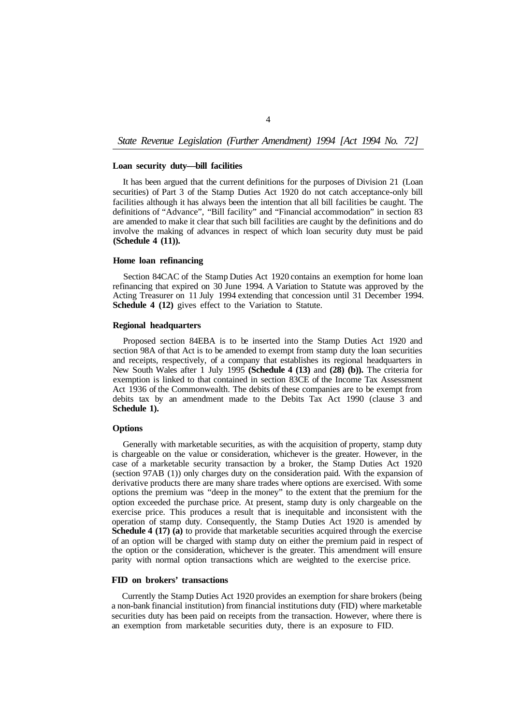#### **Loan security duty—bill facilities**

It has been argued that the current definitions for the purposes of Division 21 (Loan securities) of Part 3 of the Stamp Duties Act 1920 do not catch acceptance-only bill facilities although it has always been the intention that all bill facilities be caught. The definitions of "Advance", "Bill facility" and "Financial accommodation" in section 83 are amended to make it clear that such bill facilities are caught by the definitions and do involve the making of advances in respect of which loan security duty must be paid **(Schedule 4 (11)).** 

### **Home loan refinancing**

Section 84CAC of the Stamp Duties Act 1920 contains an exemption for home loan refinancing that expired on 30 June 1994. A Variation to Statute was approved by the Acting Treasurer on 11 July 1994 extending that concession until 31 December 1994. **Schedule 4 (12)** gives effect to the Variation to Statute.

### **Regional headquarters**

Proposed section 84EBA is to be inserted into the Stamp Duties Act 1920 and section 98A of that Act is to be amended to exempt from stamp duty the loan securities and receipts, respectively, of a company that establishes its regional headquarters in New South Wales after 1 July 1995 **(Schedule 4 (13)** and **(28) (b)).** The criteria for exemption is linked to that contained in section 83CE of the Income Tax Assessment Act 1936 of the Commonwealth. The debits of these companies are to be exempt from debits tax by an amendment made to the Debits Tax Act 1990 (clause 3 and **Schedule 1).** 

### **Options**

Generally with marketable securities, as with the acquisition of property, stamp duty is chargeable on the value or consideration, whichever is the greater. However, in the case of a marketable security transaction by a broker, the Stamp Duties Act 1920 (section 97AB (1)) only charges duty on the consideration paid. With the expansion of derivative products there are many share trades where options are exercised. With some options the premium was "deep in the money" to the extent that the premium for the option exceeded the purchase price. At present, stamp duty is only chargeable on the exercise price. This produces a result that is inequitable and inconsistent with the operation of stamp duty. Consequently, the Stamp Duties Act 1920 is amended by **Schedule 4 (17) (a)** to provide that marketable securities acquired through the exercise of an option will be charged with stamp duty on either the premium paid in respect of the option or the consideration, whichever is the greater. This amendment will ensure parity with normal option transactions which are weighted to the exercise price.

### **FID on brokers' transactions**

Currently the Stamp Duties Act 1920 provides an exemption for share brokers (being a non-bank financial institution) from financial institutions duty (FID) where marketable securities duty has been paid on receipts from the transaction. However, where there is an exemption from marketable securities duty, there is an exposure to FID.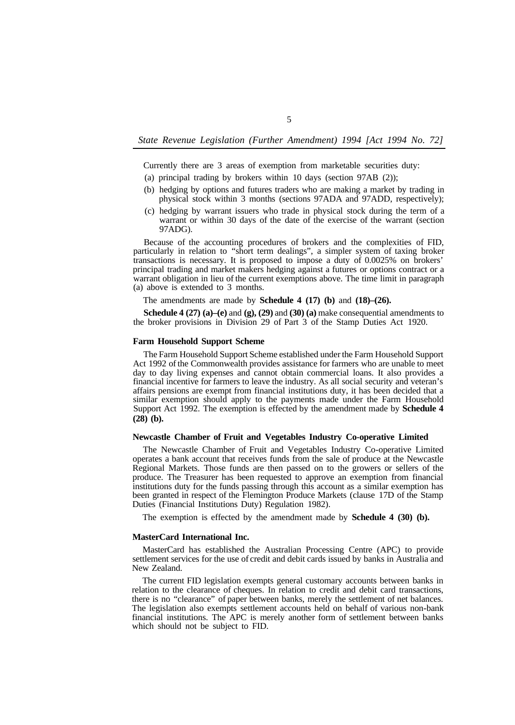Currently there are 3 areas of exemption from marketable securities duty:

(a) principal trading by brokers within 10 days (section 97AB (2));

- (b) hedging by options and futures traders who are making a market by trading in physical stock within 3 months (sections 97ADA and 97ADD, respectively);
- (c) hedging by warrant issuers who trade in physical stock during the term of a warrant or within 30 days of the date of the exercise of the warrant (section 97ADG).

Because of the accounting procedures of brokers and the complexities of FID, particularly in relation to "short term dealings", a simpler system of taxing broker transactions is necessary. It is proposed to impose a duty of 0.0025% on brokers' principal trading and market makers hedging against a futures or options contract or a warrant obligation in lieu of the current exemptions above. The time limit in paragraph (a) above is extended to 3 months.

The amendments are made by **Schedule 4 (17) (b)** and **(18)–(26).** 

**Schedule 4 (27) (a)–(e)** and **(g), (29)** and **(30) (a)** make consequential amendments to the broker provisions in Division 29 of Part 3 of the Stamp Duties Act 1920.

#### **Farm Household Support Scheme**

The Farm Household Support Scheme established under the Farm Household Support Act 1992 of the Commonwealth provides assistance for farmers who are unable to meet day to day living expenses and cannot obtain commercial loans. It also provides a financial incentive for farmers to leave the industry. As all social security and veteran's affairs pensions are exempt from financial institutions duty, it has been decided that a similar exemption should apply to the payments made under the Farm Household Support Act 1992. The exemption is effected by the amendment made by **Schedule 4 (28) (b).** 

### **Newcastle Chamber of Fruit and Vegetables Industry Co-operative Limited**

The Newcastle Chamber of Fruit and Vegetables Industry Co-operative Limited operates a bank account that receives funds from the sale of produce at the Newcastle Regional Markets. Those funds are then passed on to the growers or sellers of the produce. The Treasurer has been requested to approve an exemption from financial institutions duty for the funds passing through this account as a similar exemption has been granted in respect of the Flemington Produce Markets (clause 17D of the Stamp Duties (Financial Institutions Duty) Regulation 1982).

The exemption is effected by the amendment made by **Schedule 4 (30) (b).** 

### **MasterCard International Inc.**

MasterCard has established the Australian Processing Centre (APC) to provide settlement services for the use of credit and debit cards issued by banks in Australia and New Zealand.

The current FID legislation exempts general customary accounts between banks in relation to the clearance of cheques. In relation to credit and debit card transactions, there is no "clearance" of paper between banks, merely the settlement of net balances. The legislation also exempts settlement accounts held on behalf of various non-bank financial institutions. The APC is merely another form of settlement between banks which should not be subject to FID.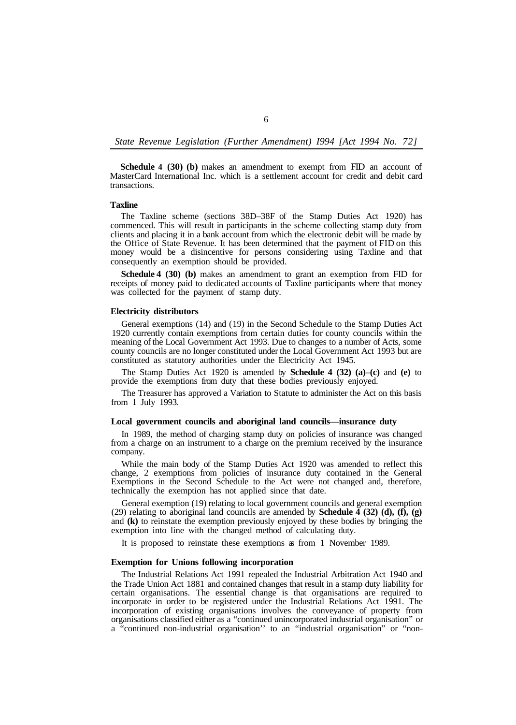**Schedule 4 (30) (b)** makes an amendment to exempt from FID an account of MasterCard International Inc. which is a settlement account for credit and debit card transactions.

#### **Taxline**

The Taxline scheme (sections 38D–38F of the Stamp Duties Act 1920) has commenced. This will result in participants in the scheme collecting stamp duty from clients and placing it in a bank account from which the electronic debit will be made by the Office of State Revenue. It has been determined that the payment of FID on this money would be a disincentive for persons considering using Taxline and that consequently an exemption should be provided.

**Schedule 4 (30) (b)** makes an amendment to grant an exemption from FID for receipts of money paid to dedicated accounts of Taxline participants where that money was collected for the payment of stamp duty.

#### **Electricity distributors**

General exemptions (14) and ( 19) in the Second Schedule to the Stamp Duties Act 1920 currently contain exemptions from certain duties for county councils within the meaning of the Local Government Act 1993. Due to changes to a number of Acts, some county councils are no longer constituted under the Local Government Act 1993 but are constituted as statutory authorities under the Electricity Act 1945.

The Stamp Duties Act 1920 is amended by **Schedule 4 (32) (a)–(c)** and **(e)** to provide the exemptions from duty that these bodies previously enjoyed.

The Treasurer has approved a Variation to Statute to administer the Act on this basis from 1 July 1993.

### **Local government councils and aboriginal land councils—insurance duty**

In 1989, the method of charging stamp duty on policies of insurance was changed from a charge on an instrument to a charge on the premium received by the insurance company.

While the main body of the Stamp Duties Act 1920 was amended to reflect this change, 2 exemptions from policies of insurance duty contained in the General Exemptions in the Second Schedule to the Act were not changed and, therefore, technically the exemption has not applied since that date.

General exemption (19) relating to local government councils and general exemption (29) relating to aboriginal land councils are amended by **Schedule 4 (32) (d), (f), (g)** and **(k)** to reinstate the exemption previously enjoyed by these bodies by bringing the exemption into line with the changed method of calculating duty.

It is proposed to reinstate these exemptions as from 1 November 1989.

### **Exemption for Unions following incorporation**

The Industrial Relations Act 1991 repealed the Industrial Arbitration Act 1940 and the Trade Union Act 1881 and contained changes that result in a stamp duty liability for certain organisations. The essential change is that organisations are required to incorporate in order to be registered under the Industrial Relations Act 1991. The incorporation of existing organisations involves the conveyance of property from organisations classified either as a "continued unincorporated industrial organisation" or a "continued non-industrial organisation'' to an "industrial organisation" or "non-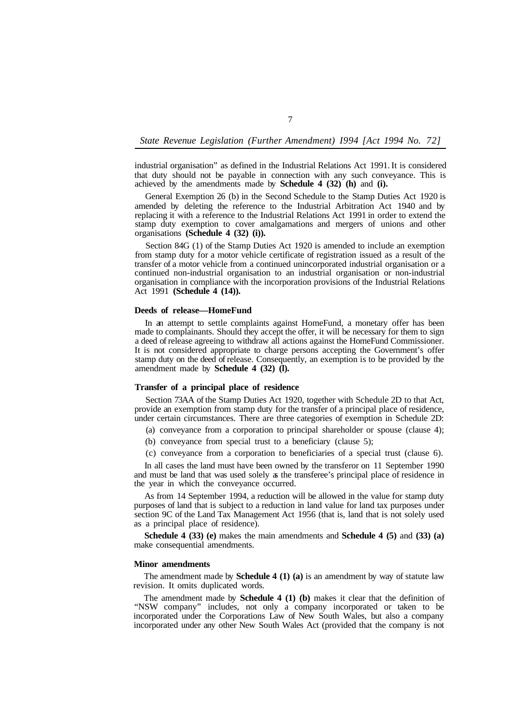industrial organisation" as defined in the Industrial Relations Act 1991. It is considered that duty should not be payable in connection with any such conveyance. This is achieved by the amendments made by **Schedule 4 (32) (h)** and **(i).** 

General Exemption 26 (b) in the Second Schedule to the Stamp Duties Act 1920 is amended by deleting the reference to the Industrial Arbitration Act 1940 and by replacing it with a reference to the Industrial Relations Act 1991 in order to extend the stamp duty exemption to cover amalgamations and mergers of unions and other organisations **(Schedule 4 (32) (i)).** 

Section 84G (1) of the Stamp Duties Act 1920 is amended to include an exemption from stamp duty for a motor vehicle certificate of registration issued as a result of the transfer of a motor vehicle from a continued unincorporated industrial organisation or a continued non-industrial organisation to an industrial organisation or non-industrial organisation in compliance with the incorporation provisions of the Industrial Relations Act 1991 **(Schedule 4 (14)).** 

#### **Deeds of release—HomeFund**

In an attempt to settle complaints against HomeFund, a monetary offer has been made to complainants. Should they accept the offer, it will be necessary for them to sign a deed of release agreeing to withdraw all actions against the HomeFund Commissioner. It is not considered appropriate to charge persons accepting the Government's offer stamp duty on the deed of release. Consequently, an exemption is to be provided by the amendment made by **Schedule 4 (32) (l).** 

### **Transfer of a principal place of residence**

Section 73AA of the Stamp Duties Act 1920, together with Schedule 2D to that Act, provide an exemption from stamp duty for the transfer of a principal place of residence, under certain circumstances. There are three categories of exemption in Schedule 2D:

- (a) conveyance from a corporation to principal shareholder or spouse (clause 4);
- (b) conveyance from special trust to a beneficiary (clause 5);
- (c) conveyance from a corporation to beneficiaries of a special trust (clause 6).

In all cases the land must have been owned by the transferor on 11 September 1990 and must be land that was used solely as the transferee's principal place of residence in the year in which the conveyance occurred.

As from 14 September 1994, a reduction will be allowed in the value for stamp duty purposes of land that is subject to a reduction in land value for land tax purposes under section 9C of the Land Tax Management Act 1956 (that is, land that is not solely used as a principal place of residence).

**Schedule 4 (33) (e)** makes the main amendments and **Schedule 4 (5)** and **(33) (a)**  make consequential amendments.

#### **Minor amendments**

The amendment made by **Schedule 4 (1) (a)** is an amendment by way of statute law revision. It omits duplicated words.

The amendment made by **Schedule 4 (1) (b)** makes it clear that the definition of "NSW company" includes, not only a company incorporated or taken to be incorporated under the Corporations Law of New South Wales, but also a company incorporated under any other New South Wales Act (provided that the company is not